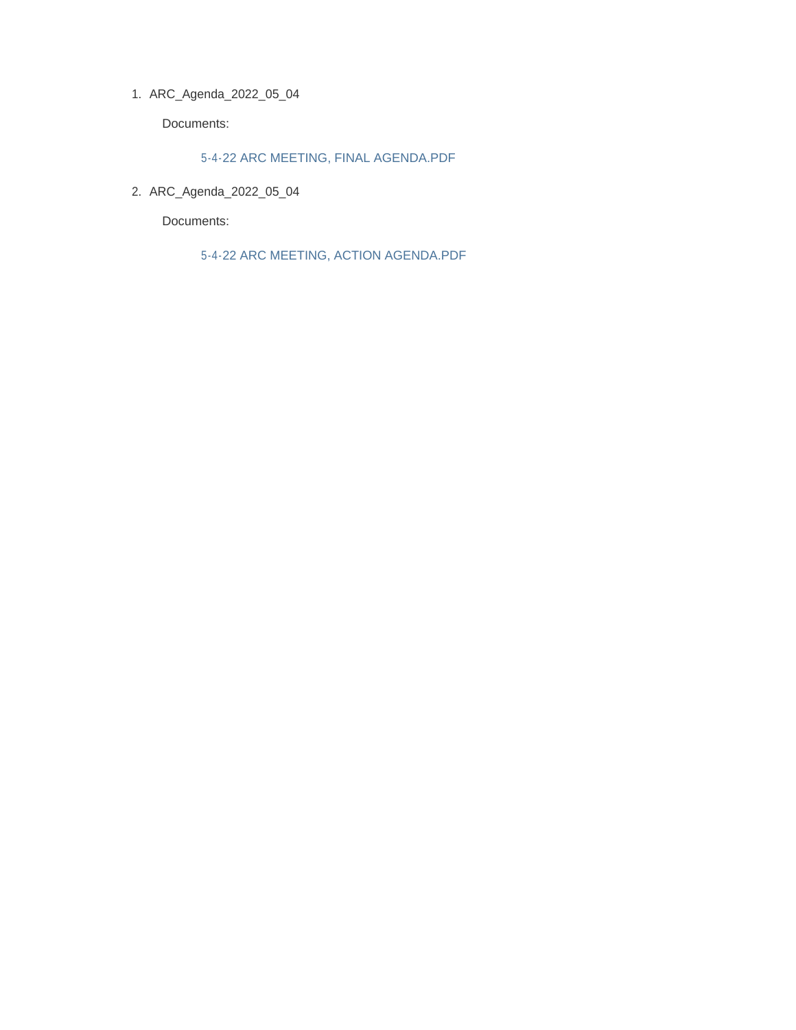ARC\_Agenda\_2022\_05\_04 1.

Documents:

5-4-22 ARC MEETING, FINAL AGENDA.PDF

ARC\_Agenda\_2022\_05\_04 2.

Documents:

5-4-22 ARC MEETING, ACTION AGENDA.PDF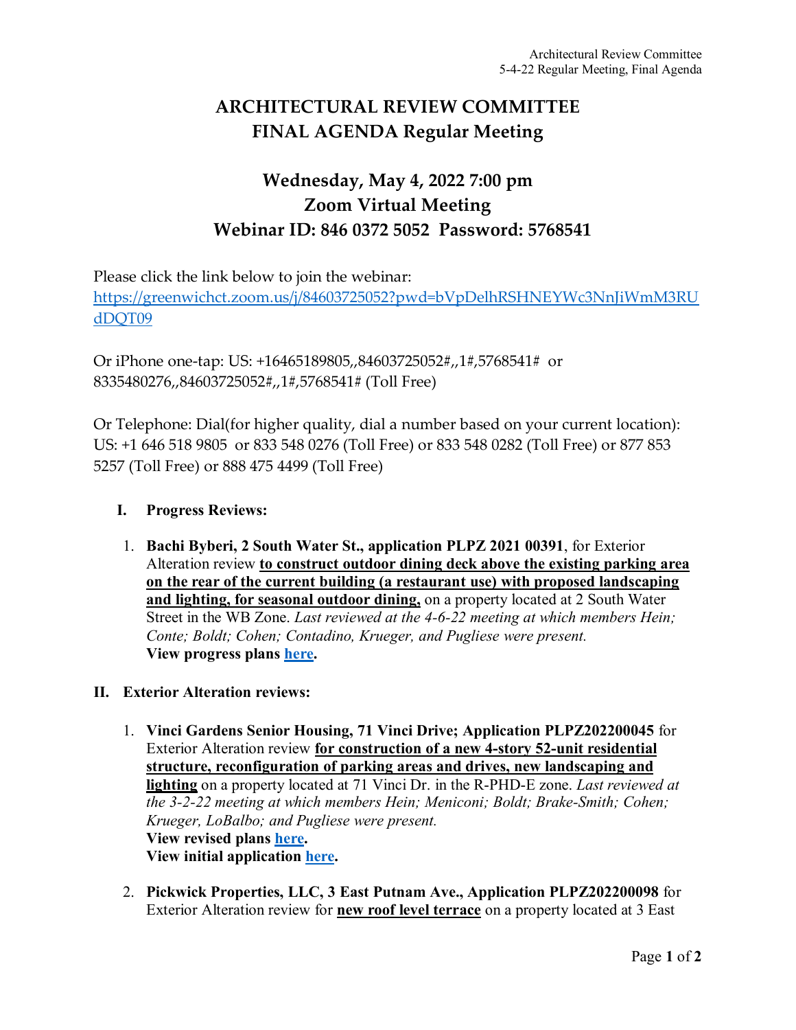# **ARCHITECTURAL REVIEW COMMITTEE FINAL AGENDA Regular Meeting**

## **Wednesday, May 4, 2022 7:00 pm Zoom Virtual Meeting Webinar ID: 846 0372 5052 Password: 5768541**

Please click the link below to join the webinar:

[https://greenwichct.zoom.us/j/84603725052?pwd=bVpDelhRSHNEYWc3NnJiWmM3RU](https://greenwichct.zoom.us/j/84603725052?pwd=bVpDelhRSHNEYWc3NnJiWmM3RUdDQT09) [dDQT09](https://greenwichct.zoom.us/j/84603725052?pwd=bVpDelhRSHNEYWc3NnJiWmM3RUdDQT09)

Or iPhone one-tap: US: +16465189805,,84603725052#,,1#,5768541# or 8335480276,,84603725052#,,1#,5768541# (Toll Free)

Or Telephone: Dial(for higher quality, dial a number based on your current location): US: +1 646 518 9805 or 833 548 0276 (Toll Free) or 833 548 0282 (Toll Free) or 877 853 5257 (Toll Free) or 888 475 4499 (Toll Free)

## **I. Progress Reviews:**

1. **Bachi Byberi, 2 South Water St., application PLPZ 2021 00391**, for Exterior Alteration review **to construct outdoor dining deck above the existing parking area on the rear of the current building (a restaurant use) with proposed landscaping and lighting, for seasonal outdoor dining,** on a property located at 2 South Water Street in the WB Zone. *Last reviewed at the 4-6-22 meeting at which members Hein; Conte; Boldt; Cohen; Contadino, Krueger, and Pugliese were present.* **View progress plans [here.](https://www.greenwichct.gov/DocumentCenter/View/30882/21012-042922-R3-REV-ARC-APP-PACKAGE)**

## **II. Exterior Alteration reviews:**

- 1. **Vinci Gardens Senior Housing, 71 Vinci Drive; Application PLPZ202200045** for Exterior Alteration review **for construction of a new 4-story 52-unit residential structure, reconfiguration of parking areas and drives, new landscaping and lighting** on a property located at 71 Vinci Dr. in the R-PHD-E zone. *Last reviewed at the 3-2-22 meeting at which members Hein; Meniconi; Boldt; Brake-Smith; Cohen; Krueger, LoBalbo; and Pugliese were present.*  **View revised plans [here.](https://www.greenwichct.gov/DocumentCenter/View/30881/2022-04-18-Vinci-Gardens---ARC-Re-Submission) View initial application [here.](https://www.greenwichct.gov/DocumentCenter/View/28789/71-Vindi-Dr-EA-application-PLPZ202200045)**
- 2. **Pickwick Properties, LLC, 3 East Putnam Ave., Application PLPZ202200098** for Exterior Alteration review for **new roof level terrace** on a property located at 3 East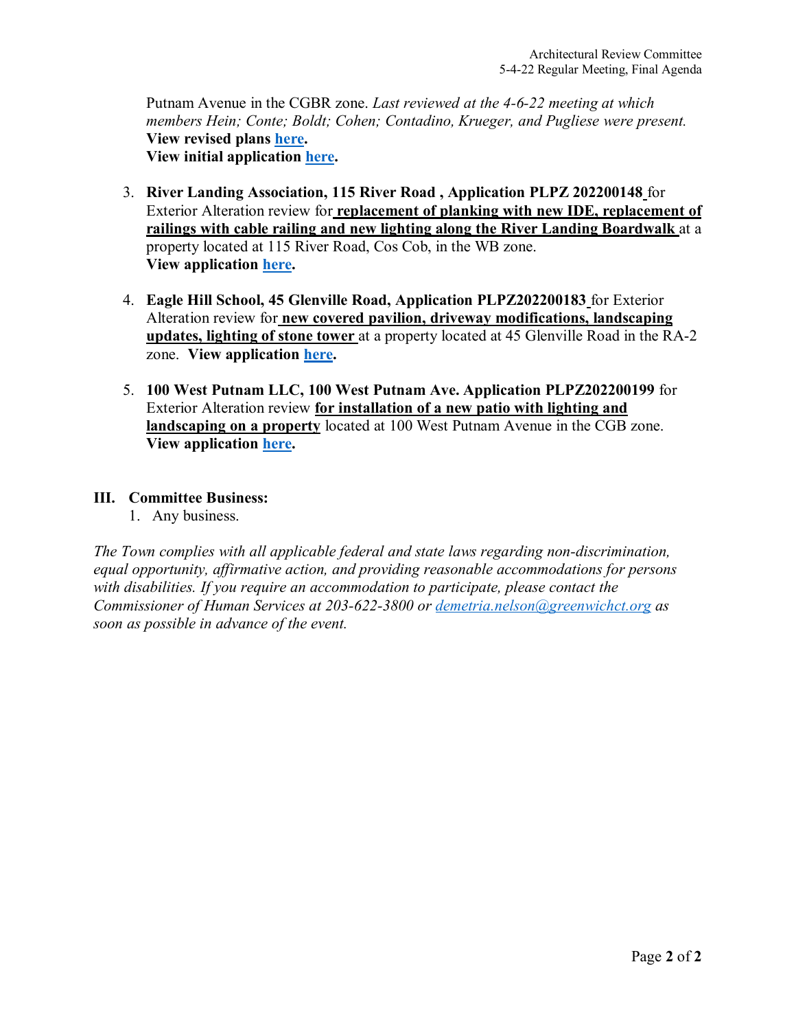Putnam Avenue in the CGBR zone. *Last reviewed at the 4-6-22 meeting at which members Hein; Conte; Boldt; Cohen; Contadino, Krueger, and Pugliese were present.* **View revised plans [here.](https://www.greenwichct.gov/DocumentCenter/View/30883/220415_3-Pickwick-Plaza_ARC) View initial application [here.](https://www.greenwichct.gov/DocumentCenter/View/29455/3-EPA-Pickwick-Plaza-terrace-PLPZ-202200098)** 

- 3. **River Landing Association, 115 River Road , Application PLPZ 202200148** for Exterior Alteration review for **replacement of planking with new IDE, replacement of railings with cable railing and new lighting along the River Landing Boardwalk** at a property located at 115 River Road, Cos Cob, in the WB zone. **View application [here.](https://www.greenwichct.gov/DocumentCenter/View/30880/115-River-Road-202200148)**
- 4. **Eagle Hill School, 45 Glenville Road, Application PLPZ202200183** for Exterior Alteration review for **new covered pavilion, driveway modifications, landscaping updates, lighting of stone tower** at a property located at 45 Glenville Road in the RA-2 zone. **View application [here.](https://www.greenwichct.gov/DocumentCenter/View/30884/Eagle-Hill-45-Glenville-202200183)**
- 5. **100 West Putnam LLC, 100 West Putnam Ave. Application PLPZ202200199** for Exterior Alteration review **for installation of a new patio with lighting and landscaping on a property** located at 100 West Putnam Avenue in the CGB zone. **View application [here.](https://www.greenwichct.gov/DocumentCenter/View/30879/100-WPA-patio-ARC-EA)**

### **III. Committee Business:**

1. Any business.

*The Town complies with all applicable federal and state laws regarding non-discrimination, equal opportunity, affirmative action, and providing reasonable accommodations for persons with disabilities. If you require an accommodation to participate, please contact the Commissioner of Human Services at 203-622-3800 or [demetria.nelson@greenwichct.org](mailto:demetria.nelson@greenwichct.org) as soon as possible in advance of the event.*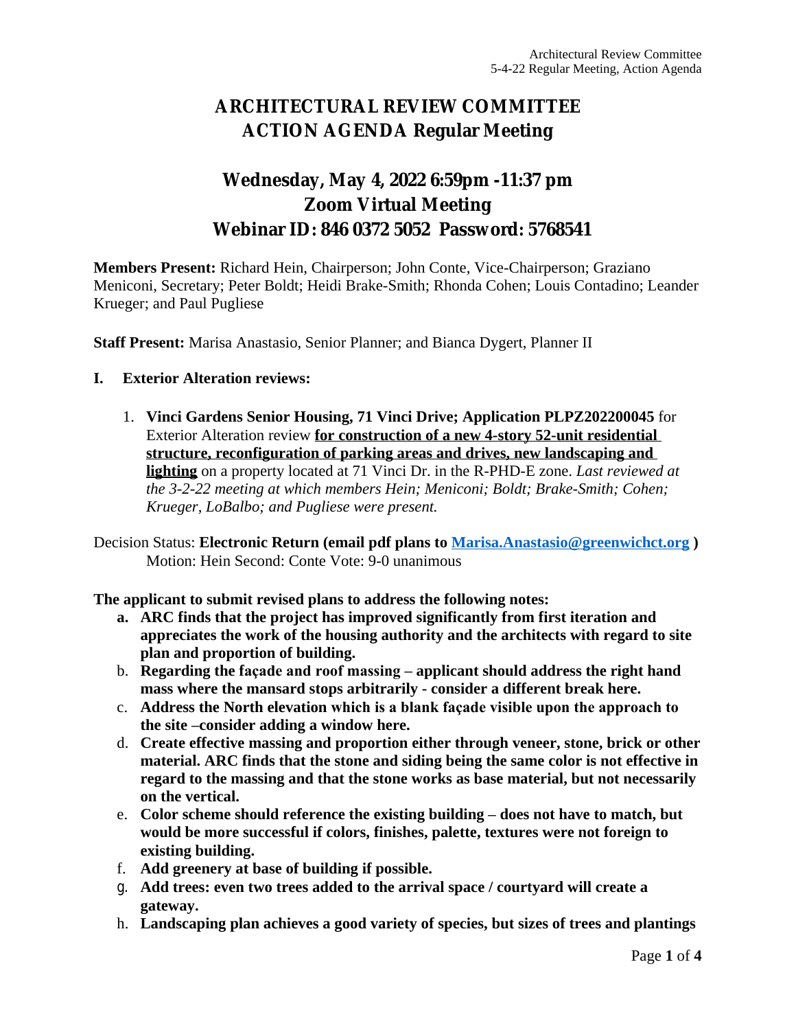# **ARCHITECTURAL REVIEW COMMITTEE ACTION AGENDA Regular Meeting**

## **Wednesday, May 4, 2022 6:59pm -11:37 pm Zoom Virtual Meeting Webinar ID: 846 0372 5052 Password: 5768541**

**Members Present:** Richard Hein, Chairperson; John Conte, Vice-Chairperson; Graziano Meniconi, Secretary; Peter Boldt; Heidi Brake-Smith; Rhonda Cohen; Louis Contadino; Leander Krueger; and Paul Pugliese

**Staff Present:** Marisa Anastasio, Senior Planner; and Bianca Dygert, Planner II

#### **I. Exterior Alteration reviews:**

1. **Vinci Gardens Senior Housing, 71 Vinci Drive; Application PLPZ202200045** for Exterior Alteration review **for construction of a new 4-story 52-unit residential structure, reconfiguration of parking areas and drives, new landscaping and lighting** on a property located at 71 Vinci Dr. in the R-PHD-E zone. *Last reviewed at the 3-2-22 meeting at which members Hein; Meniconi; Boldt; Brake-Smith; Cohen; Krueger, LoBalbo; and Pugliese were present.* 

Decision Status: **Electronic Return (email pdf plans to [Marisa.Anastasio@greenwichct.org](mailto:Marisa.Anastasio@greenwichct.org) )** Motion: Hein Second: Conte Vote: 9-0 unanimous

**The applicant to submit revised plans to address the following notes:**

- **a. ARC finds that the project has improved significantly from first iteration and appreciates the work of the housing authority and the architects with regard to site plan and proportion of building.**
- b. **Regarding the façade and roof massing – applicant should address the right hand mass where the mansard stops arbitrarily - consider a different break here.**
- c. **Address the North elevation which is a blank façade visible upon the approach to the site –consider adding a window here.**
- d. **Create effective massing and proportion either through veneer, stone, brick or other material. ARC finds that the stone and siding being the same color is not effective in regard to the massing and that the stone works as base material, but not necessarily on the vertical.**
- e. **Color scheme should reference the existing building – does not have to match, but would be more successful if colors, finishes, palette, textures were not foreign to existing building.**
- f. **Add greenery at base of building if possible.**
- g. **Add trees: even two trees added to the arrival space / courtyard will create a gateway.**
- h. **Landscaping plan achieves a good variety of species, but sizes of trees and plantings**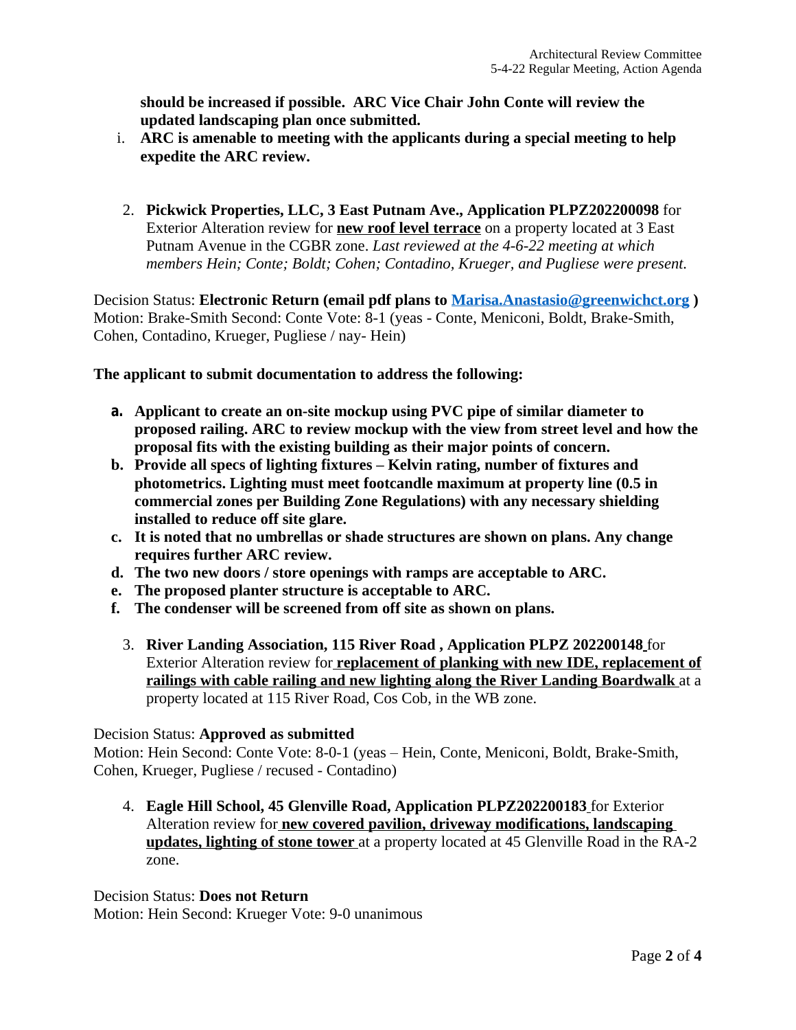**should be increased if possible. ARC Vice Chair John Conte will review the updated landscaping plan once submitted.**

- i. **ARC is amenable to meeting with the applicants during a special meeting to help expedite the ARC review.**
- 2. **Pickwick Properties, LLC, 3 East Putnam Ave., Application PLPZ202200098** for Exterior Alteration review for **new roof level terrace** on a property located at 3 East Putnam Avenue in the CGBR zone. *Last reviewed at the 4-6-22 meeting at which members Hein; Conte; Boldt; Cohen; Contadino, Krueger, and Pugliese were present.*

Decision Status: **Electronic Return (email pdf plans to [Marisa.Anastasio@greenwichct.org](mailto:Marisa.Anastasio@greenwichct.org) )** Motion: Brake-Smith Second: Conte Vote: 8-1 (yeas - Conte, Meniconi, Boldt, Brake-Smith, Cohen, Contadino, Krueger, Pugliese / nay- Hein)

**The applicant to submit documentation to address the following:**

- **a. Applicant to create an on-site mockup using PVC pipe of similar diameter to proposed railing. ARC to review mockup with the view from street level and how the proposal fits with the existing building as their major points of concern.**
- **b. Provide all specs of lighting fixtures – Kelvin rating, number of fixtures and photometrics. Lighting must meet footcandle maximum at property line (0.5 in commercial zones per Building Zone Regulations) with any necessary shielding installed to reduce off site glare.**
- **c. It is noted that no umbrellas or shade structures are shown on plans. Any change requires further ARC review.**
- **d. The two new doors / store openings with ramps are acceptable to ARC.**
- **e. The proposed planter structure is acceptable to ARC.**
- **f. The condenser will be screened from off site as shown on plans.**
	- 3. **River Landing Association, 115 River Road , Application PLPZ 202200148** for Exterior Alteration review for **replacement of planking with new IDE, replacement of railings with cable railing and new lighting along the River Landing Boardwalk** at a property located at 115 River Road, Cos Cob, in the WB zone.

### Decision Status: **Approved as submitted**

Motion: Hein Second: Conte Vote: 8-0-1 (yeas – Hein, Conte, Meniconi, Boldt, Brake-Smith, Cohen, Krueger, Pugliese / recused - Contadino)

4. **Eagle Hill School, 45 Glenville Road, Application PLPZ202200183** for Exterior Alteration review for **new covered pavilion, driveway modifications, landscaping updates, lighting of stone tower** at a property located at 45 Glenville Road in the RA-2 zone.

Decision Status: **Does not Return** Motion: Hein Second: Krueger Vote: 9-0 unanimous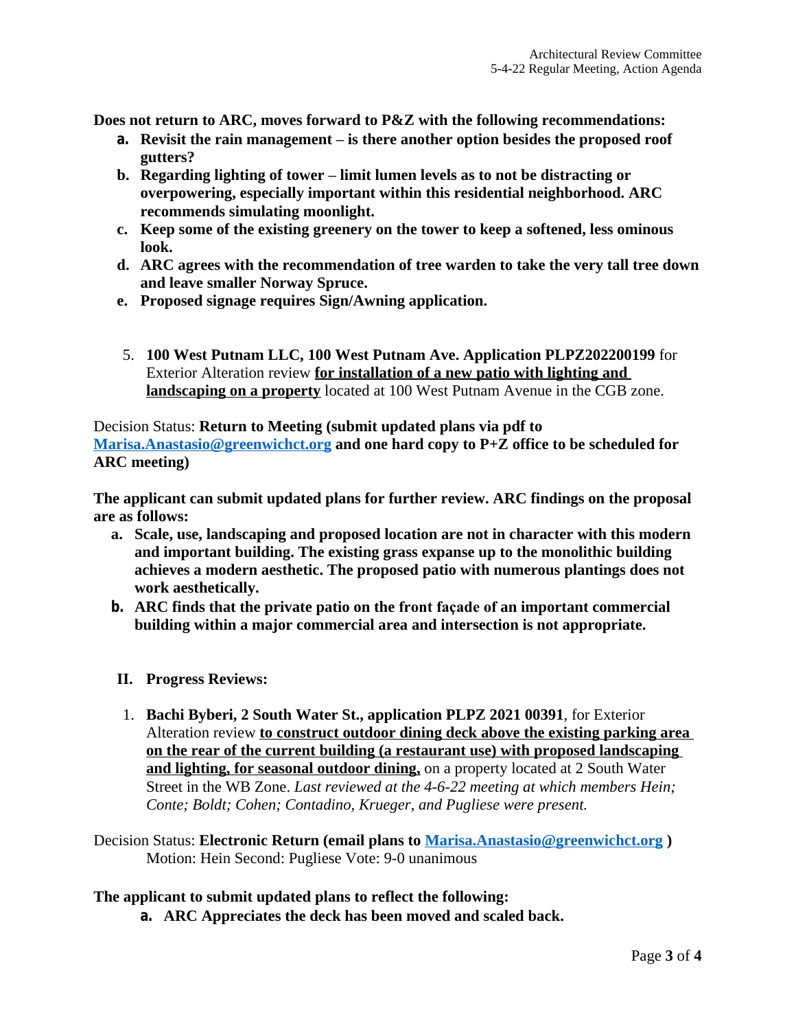**Does not return to ARC, moves forward to P&Z with the following recommendations:**

- **a. Revisit the rain management – is there another option besides the proposed roof gutters?**
- **b. Regarding lighting of tower – limit lumen levels as to not be distracting or overpowering, especially important within this residential neighborhood. ARC recommends simulating moonlight.**
- **c. Keep some of the existing greenery on the tower to keep a softened, less ominous look.**
- **d. ARC agrees with the recommendation of tree warden to take the very tall tree down and leave smaller Norway Spruce.**
- **e. Proposed signage requires Sign/Awning application.**
- 5. **100 West Putnam LLC, 100 West Putnam Ave. Application PLPZ202200199** for Exterior Alteration review **for installation of a new patio with lighting and landscaping on a property** located at 100 West Putnam Avenue in the CGB zone.

Decision Status: **Return to Meeting (submit updated plans via pdf to [Marisa.Anastasio@greenwichct.org](mailto:Marisa.Anastasio@greenwichct.org) and one hard copy to P+Z office to be scheduled for ARC meeting)**

**The applicant can submit updated plans for further review. ARC findings on the proposal are as follows:**

- **a. Scale, use, landscaping and proposed location are not in character with this modern and important building. The existing grass expanse up to the monolithic building achieves a modern aesthetic. The proposed patio with numerous plantings does not work aesthetically.**
- **b. ARC finds that the private patio on the front façade of an important commercial building within a major commercial area and intersection is not appropriate.**
- **II. Progress Reviews:**
- 1. **Bachi Byberi, 2 South Water St., application PLPZ 2021 00391**, for Exterior Alteration review **to construct outdoor dining deck above the existing parking area on the rear of the current building (a restaurant use) with proposed landscaping and lighting, for seasonal outdoor dining,** on a property located at 2 South Water Street in the WB Zone. *Last reviewed at the 4-6-22 meeting at which members Hein; Conte; Boldt; Cohen; Contadino, Krueger, and Pugliese were present.*
- Decision Status: **Electronic Return (email plans to [Marisa.Anastasio@greenwichct.org](mailto:Marisa.Anastasio@greenwichct.org) )** Motion: Hein Second: Pugliese Vote: 9-0 unanimous

#### **The applicant to submit updated plans to reflect the following:**

**a. ARC Appreciates the deck has been moved and scaled back.**